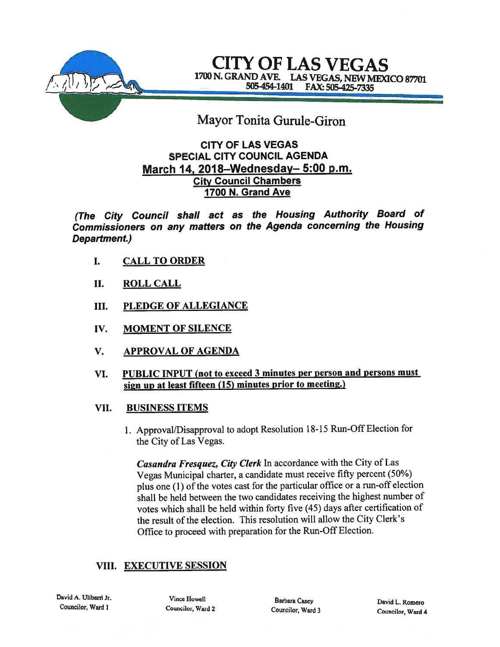

CITY OF LAS VEGAS 1700 N. GRAND AVE. LAS VEGAS, NEW MEXICO 87701<br>505-454-1401 FAX: 505-425-7335

# Mayor Tonita Gurule-Giron

## CITY OF LAS VEGAS SPECIAL CITY COUNCIL AGENDA March 14, 2018—Wednesday— 5:00 p.m. **City Council Chambers** 1700 N. Grand Ave

(The City Council shall act as the Housing Authority Board of Commissioners on any matters on the Agenda concerning the Housing Department.)

- I. CALL TO ORDER
- II. ROLL CALL
- III. PLEDGE OF ALLEGIANCE
- IV. MOMENT OF SILENCE
- V. APPROVAL OF AGENDA
- VI. PUBLIC INPUT (not to exceed 3 minutes per person and persons must sign up at least fifteen  $(15)$  minutes prior to meeting.)
- VII. BUSINESS ITEMS
	- 1. Approval/Disapproval to adopt Resolution 18-15 Run-Off Election for the City of Las Vegas.

Casandra Fresquez, City Clerk In accordance with the City of Las Vegas Municipal charter, <sup>a</sup> candidate must receive fifty percent (50%) <sup>p</sup>lus one (1) of the votes cast for the particular office or <sup>a</sup> run-off election shall be held between the two candidates receiving the highest number of votes which shall be held within forty five (45) days after certification of the result of the election. This resolution will allow the City Clerk's Office to proceed with preparation for the Run-Off Election.

# VIII. EXECUTIVE SESSION

David A. Ulibarri Jr. Councilor, Ward I

Vince Howell Barbara Casey Bavid L. Romero<br>
Councilor, Ward 2 Councilor Ward 3 Councilor Museum Councilor Ward 3

Councilor. Ward <sup>2</sup> Councilor, Ward <sup>3</sup> Councilor, Ward <sup>4</sup>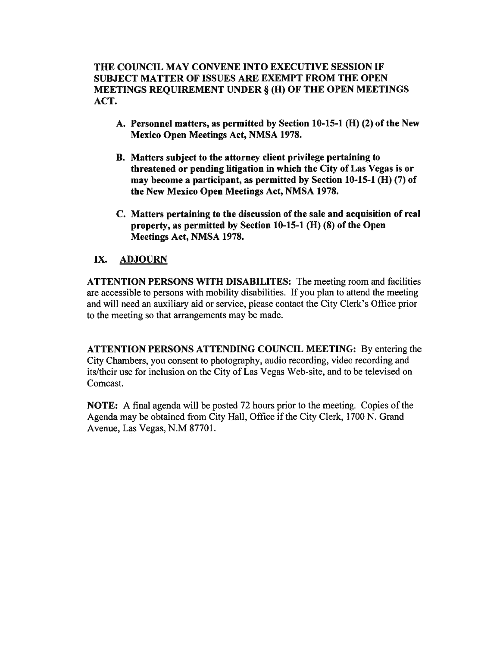THE COUNCIL MAY CONVENE INTO EXECUTIVE SESSION IF SUBJECT MATTER OF ISSUES ARE EXEMPT FROM THE OPEN MEETINGS REQUIREMENT UNDER § (H) OF THE OPEN MEETINGS ACT.

- A. Personnel matters, as permitted by Section 10-15-1 (H) (2) of the New Mexico Open Meetings Act, NMSA 1978.
- B. Matters subject to the attorney client privilege pertaining to threatened or pending litigation in which the City of Las Vegas is or may become <sup>a</sup> participant, as permitted by Section 10-15-1 (H) (7) of the New Mexico Open Meetings Act, NMSA 1978.
- C. Matters pertaining to the discussion of the sale and acquisition of real property, as permitted by Section 10-15-1 (H) (8) of the Open Meetings Act, NMSA 1978.

## IX. ADJOURN

ATTENTION PERSONS WITH DISABILITES: The meeting room and facilities are accessible to persons with mobility disabilities. If you plan to attend the meeting and will need an auxiliary aid or service, please contact the City Clerk's Office prior to the meeting so that arrangements may be made.

ATTENTION PERSONS ATTENDING COUNCIL MEETING: By entering the City Chambers, you consent to photography, audio recording, video recording and its/their use for inclusion on the City of Las Vegas Web-site, and to be televised on Comcast.

NOTE: A final agenda will be posted 72 hours prior to the meeting. Copies of the Agenda may be obtained from City Hall, Office if the City Clerk, 1700 N. Grand Avenue, Las Vegas, N.M 87701.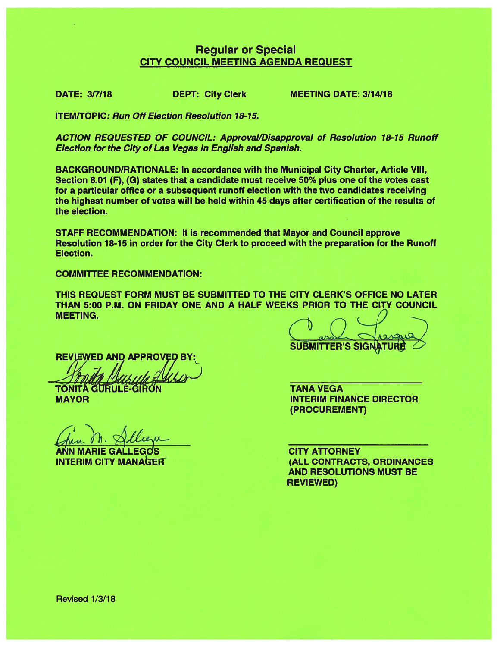# Regular or Special CITY COUNCIL MEETING AGENDA REQUEST

DATE: 3/7/18 DEPT: City Clerk MEETING DATE: 3/14/18

**ITEM/TOPIC: Run Off Election Resolution 18-15.** 

ACTION REQUESTED OF COUNCIL: Approval/Disapproval of Resolution 18-15 Runoff Election for the City of Las Vegas in English and Spanish.

BACKGROUND/RATIONALE: In accordance with the Municipal City Charter, Article VIII, Section 8.01 (F), (G) states that <sup>a</sup> candidate must receive 50% plus one of the votes cast for <sup>a</sup> particular office or <sup>a</sup> subsequent runoff election with the two candidates receiving the highest number of votes will be held within 45 days after certification of the results of the election.

STAFF RECOMMENDATION: It is recommended that Mayor and Council approve Resolution 18-15 in order for the City Clerk to proceed with the preparation for the Runoff Election.

COMMITTEE RECOMMENDATION:

THIS REQUEST FORM MUST BE SUBMITTED TO THE CITY CLERK'S OFFICE NO LATER THAN 5:00 P.M. ON FRIDAY ONE AND A HALF WEEKS PRIOR TO THE CITY COUNCIL MEETING.

**REVIEWED AND APPROVED BY** 

**TONITA GURULE-GIRON** 

MAYOR

ANN MARIE GALLEGOS INTERIM CITY MANAER

 $k$ **SUBMITTER'S SIGN** 

TANA VEGA INTERIM FINANCE DIRECTOR (PROCUREMENT)

CITY ATTORNEY (ALL CONTRACTS, ORDINANCES AND RESOLUTIONS MUST BE REVIEWED)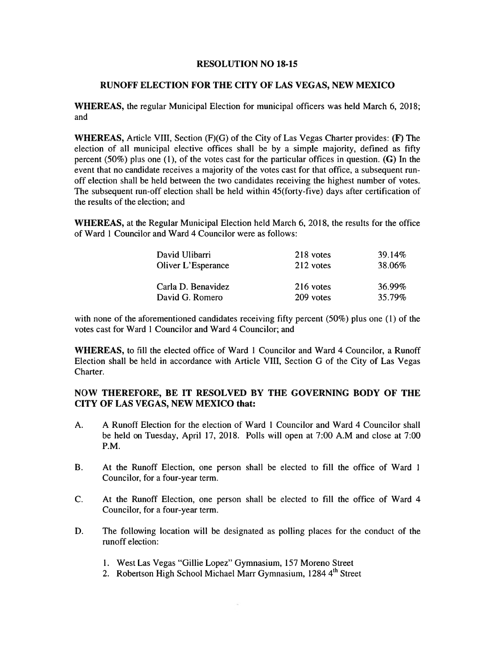#### RESOLUTION NO 18-15

#### RUNOFF ELECTION FOR THE CITY OF LAS VEGAS, NEW MEXICO

WHEREAS, the regular Municipal Election for municipal officers was held March 6, 2018; and

**WHEREAS,** Article VIII, Section  $(F)(G)$  of the City of Las Vegas Charter provides:  $(F)$  The election of all municipal elective offices shall be by <sup>a</sup> simple majority, defined as fifty percent (50%) plus one (1), of the votes cast for the particular offices in question. (G) In the event that no candidate receives <sup>a</sup> majority of the votes cast for that office, <sup>a</sup> subsequent run off election shall be held between the two candidates receiving the highest number of votes. The subsequent run-off election shall be held within 45(forty-five) days after certification of the results of the election; and

WHEREAS, at the Regular Municipal Election held March 6, 2018, the results for the office of Ward 1 Councilor and Ward 4 Councilor were as follows:

| David Ulibarri     | 218 votes | 39.14% |
|--------------------|-----------|--------|
| Oliver L'Esperance | 212 votes | 38.06% |
|                    |           |        |
| Carla D. Benavidez | 216 votes | 36.99% |
| David G. Romero    | 209 votes | 35.79% |

with none of the aforementioned candidates receiving fifty percent (50%) plus one (1) of the votes cast for Ward 1 Councilor and Ward 4 Councilor; and

WHEREAS, to fill the elected office of Ward I Councilor and Ward 4 Councilor, <sup>a</sup> Runoff Election shall be held in accordance with Article VIII, Section G of the City of Las Vegas Charter.

### NOW THEREFORE, BE IT RESOLVED BY THE GOVERNING BODY OF THE CITY OF LAS VEGAS, NEW MEXICO that:

- A. A Runoff Election for the election of Ward I Councilor and Ward 4 Councilor shall be held on Tuesday, April 17, 2018. Polls will open at 7:00 A.M and close at 7:00 P.M.
- B. At the Runoff Election, one person shall be elected to fill the office of Ward 1 Councilor, for <sup>a</sup> four-year term.
- C. At the Runoff Election, one person shall be elected to fill the office of Ward 4 Councilor, for <sup>a</sup> four-year term.
- D. The following location will be designated as polling places for the conduct of the runoff election:
	- 1. West Las Vegas "Gillie Lopez" Gymnasium, 157 Moreno Street
	- 2. Robertson High School Michael Marr Gymnasium, 1284 4<sup>th</sup> Street

 $\mathcal{L}$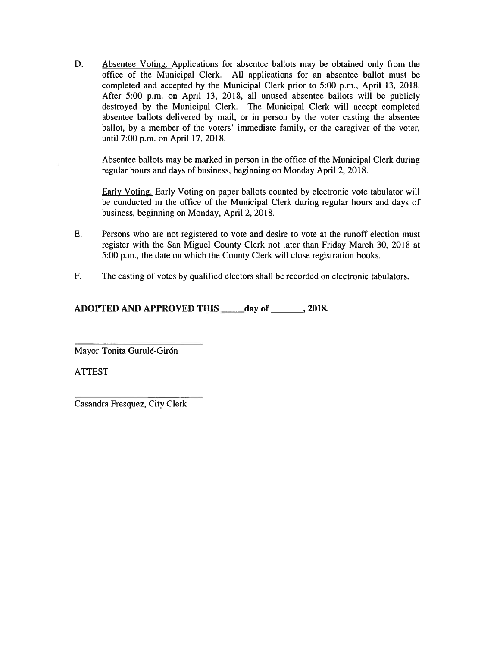D. Absentee Voting. Applications for absentee ballots may be obtained only from the office of the Municipal Clerk. All applications for an absentee ballot must be completed and accepted by the Municipal Clerk prior to 5:00 p.m., April 13, 2018. After 5:00 p.m. on April 13, 2018, all unused absentee ballots will be publicly destroyed by the Municipal Clerk. The Municipal Clerk will accep<sup>t</sup> completed absentee ballots delivered by mail, or in person by the voter casting the absentee ballot, by <sup>a</sup> member of the voters' immediate family, or the caregiver of the voter, until 7:00 p.m. on April 17, 2018.

Absentee ballots may be marked in person in the office of the Municipal Clerk during regular hours and days of business, beginning on Monday April 2, 2018.

Early Voting. Early Voting on paper ballots counted by electronic vote tabulator will be conducted in the office of the Municipal Clerk during regular hours and days of business, beginning on Monday, April 2, 2018.

- E. Persons who are not registered to vote and desire to vote at the runoff election must register with the San Miguel County Clerk not later than Friday March 30, 2018 at 5:00 p.m., the date on which the County Clerk will close registration books.
- F. The casting of votes by qualified electors shall be recorded on electronic tabulators.

## ADOPTED AND APPROVED THIS lav of the law of the same of  $\sim$  2018.

Mayor Tonita Gurulé-Girón

ATTEST

Casandra Fresquez, City Clerk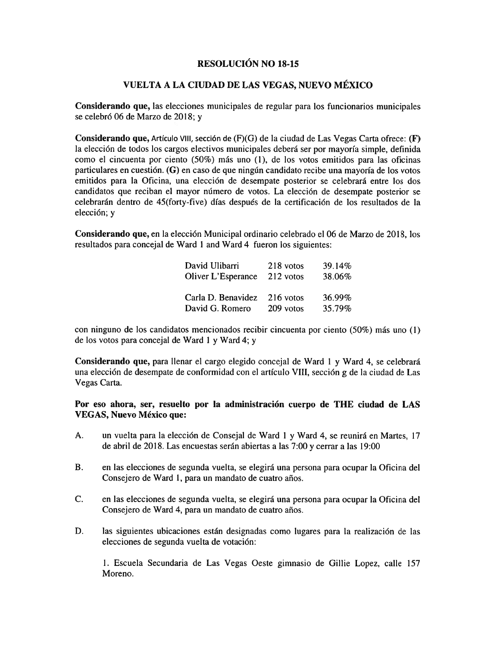#### RESOLUCIÓN NO 18-15

#### VUELTA A LA CIUDAD DE LAS VEGAS, NUEVO MEXICO

Considerando que, las elecciones municipales de regular para los funcionarios municipales se celebró <sup>06</sup> de Marzo de 2018; <sup>y</sup>

Considerando que, Artículo VIII, sección de  $(F)(G)$  de la ciudad de Las Vegas Carta ofrece:  $(F)$ la elección de todos los cargos electivos municipales deberá ser por mayoría simple, definida como el cincuenta por ciento (50%) más uno (1), de los votos emitidos para las oficinas particulares en cuestión.  $(G)$  en caso de que ningún candidato recibe una mayoría de los votos emitidos para Ia Oficina, una elección de desempate posterior se celebrará entre los dos candidatos que reciban el mayor número de votos. La elección de desempate posterior se celebrarán dentro de 45(forty-five) días después de la certificación de los resultados de la elección; <sup>y</sup>

Considerando que, en la elección Municipal ordinario celebrado el 06 de Marzo de 2018, los resultados para concejal de Ward 1 and Ward 4 fueron los siguientes:

| David Ulibarri     | 218 votos | 39.14% |
|--------------------|-----------|--------|
| Oliver L'Esperance | 212 votos | 38.06% |
| Carla D. Benavidez | 216 votos | 36.99% |
| David G. Romero    | 209 votos | 35.79% |

con ninguno de los candidatos mencionados recibir cincuenta por ciento (50%) más uno (I) de los votos para concejal de Ward <sup>I</sup> <sup>y</sup> Ward 4; <sup>y</sup>

Considerando que, para Ilenar el cargo elegido concejal de Ward <sup>I</sup> <sup>y</sup> Ward 4, se celebrará una elección de desempate de conformidad con el artículo VIII, sección g de la ciudad de Las Vegas Carta.

Por eso ahora, ser, resuelto por la administración cuerpo de THE ciudad de LAS VEGAS, Nuevo México que:

- A. un vuelta para la elección de Consejal de Ward <sup>1</sup> <sup>y</sup> Ward 4, se reunirá en Martes, <sup>17</sup> de abril de 2018. Las encuestas serán abiertas <sup>a</sup> las 7:00 <sup>y</sup> cerrar <sup>a</sup> las 19:00
- B. en las elecciones de segunda vuelta, se elegirá una persona para ocupar la Oficina del Consejero de Ward 1, para un mandato de cuatro años.
- C. en las elecciones de segunda vuelta, se elegira una persona para ocupar Ia Oficina del Consejero de Ward 4, para un mandato de cuatro años.
- D. las siguientes ubicaciones están designadas como lugares para la realización de las elecciones de segunda vuelta de votación:

1. Escuela Secundaria de Las Vegas Oeste gimnasio de Gillie Lopez, calle 157 Moreno.